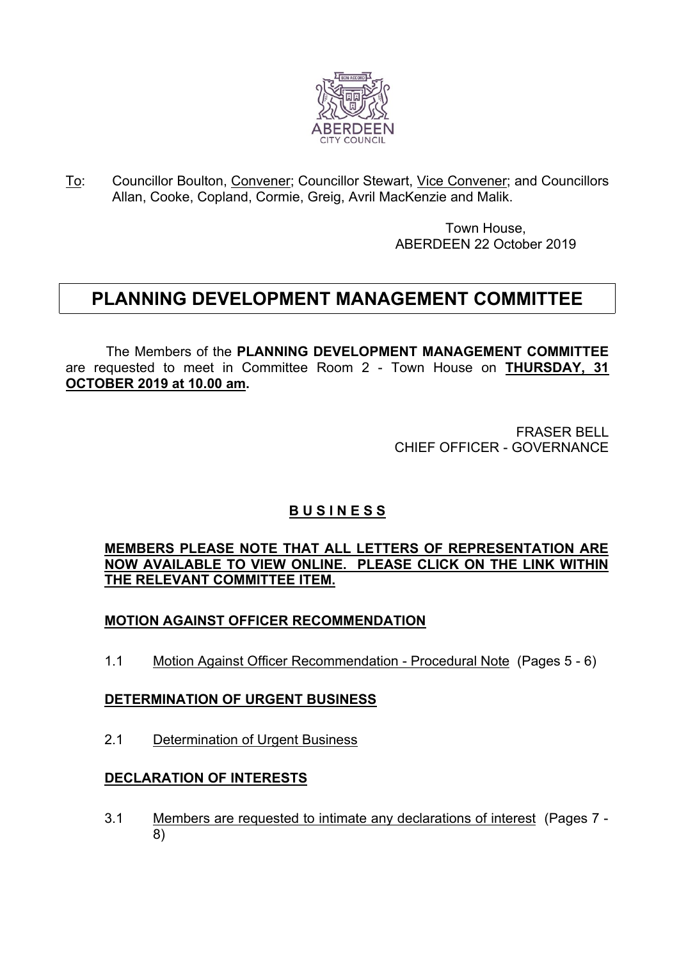

To: Councillor Boulton, Convener; Councillor Stewart, Vice Convener; and Councillors Allan, Cooke, Copland, Cormie, Greig, Avril MacKenzie and Malik.

> Town House, ABERDEEN 22 October 2019

# **PLANNING DEVELOPMENT MANAGEMENT COMMITTEE**

The Members of the **PLANNING DEVELOPMENT MANAGEMENT COMMITTEE** are requested to meet in Committee Room 2 - Town House on **THURSDAY, 31 OCTOBER 2019 at 10.00 am.**

> FRASER BELL CHIEF OFFICER - GOVERNANCE

## **B U S I N E S S**

## **MEMBERS PLEASE NOTE THAT ALL LETTERS OF REPRESENTATION ARE NOW AVAILABLE TO VIEW ONLINE. PLEASE CLICK ON THE LINK WITHIN THE RELEVANT COMMITTEE ITEM.**

## **MOTION AGAINST OFFICER RECOMMENDATION**

1.1 Motion Against Officer Recommendation - Procedural Note (Pages 5 - 6)

## **DETERMINATION OF URGENT BUSINESS**

2.1 Determination of Urgent Business

## **DECLARATION OF INTERESTS**

3.1 Members are requested to intimate any declarations of interest (Pages 7 - 8)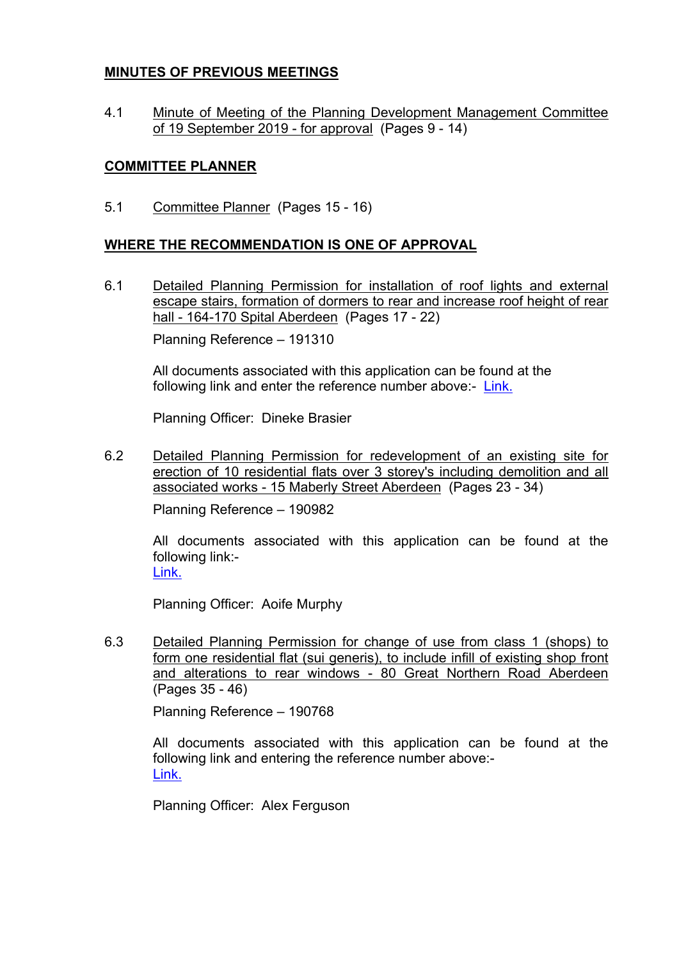#### **MINUTES OF PREVIOUS MEETINGS**

4.1 Minute of Meeting of the Planning Development Management Committee of 19 September 2019 - for approval (Pages 9 - 14)

## **COMMITTEE PLANNER**

5.1 Committee Planner (Pages 15 - 16)

## **WHERE THE RECOMMENDATION IS ONE OF APPROVAL**

6.1 Detailed Planning Permission for installation of roof lights and external escape stairs, formation of dormers to rear and increase roof height of rear hall - 164-170 Spital Aberdeen (Pages 17 - 22)

Planning Reference – 191310

All documents associated with this application can be found at the following link and enter the reference number above:- [Link.](https://publicaccess.aberdeencity.gov.uk/online-applications/)

Planning Officer: Dineke Brasier

6.2 Detailed Planning Permission for redevelopment of an existing site for erection of 10 residential flats over 3 storey's including demolition and all associated works - 15 Maberly Street Aberdeen (Pages 23 - 34)

Planning Reference – 190982

All documents associated with this application can be found at the following link:- [Link.](https://publicaccess.aberdeencity.gov.uk/online-applications/)

Planning Officer: Aoife Murphy

6.3 Detailed Planning Permission for change of use from class 1 (shops) to form one residential flat (sui generis), to include infill of existing shop front and alterations to rear windows - 80 Great Northern Road Aberdeen (Pages 35 - 46)

Planning Reference – 190768

All documents associated with this application can be found at the following link and entering the reference number above:- [Link.](https://publicaccess.aberdeencity.gov.uk/online-applications/)

Planning Officer: Alex Ferguson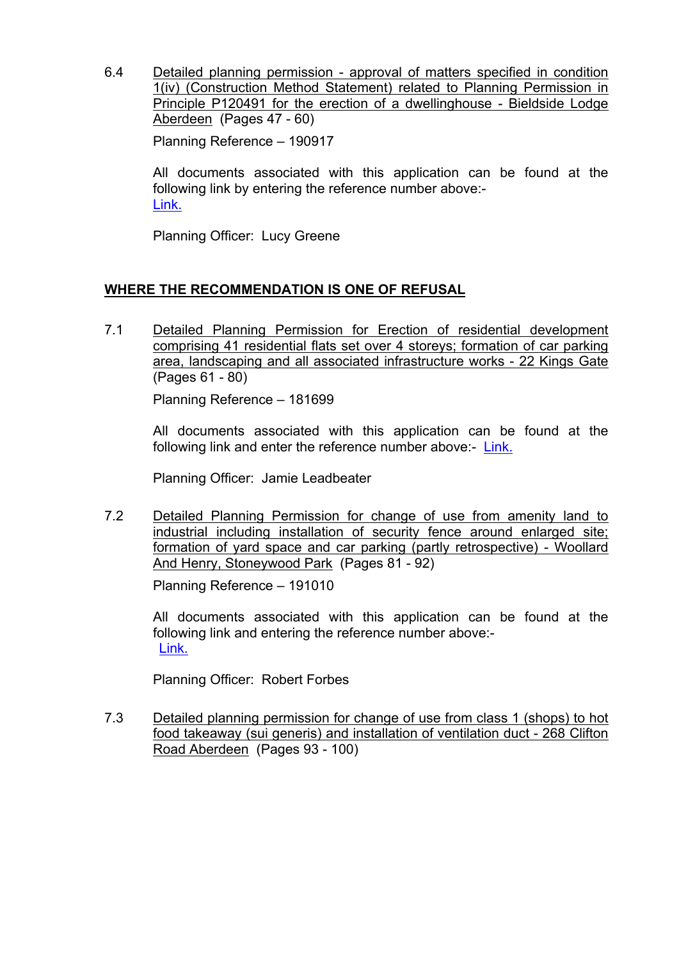6.4 Detailed planning permission - approval of matters specified in condition 1(iv) (Construction Method Statement) related to Planning Permission in Principle P120491 for the erection of a dwellinghouse - Bieldside Lodge Aberdeen (Pages 47 - 60)

Planning Reference – 190917

All documents associated with this application can be found at the following link by entering the reference number above:- [Link.](https://publicaccess.aberdeencity.gov.uk/online-applications/)

Planning Officer: Lucy Greene

#### **WHERE THE RECOMMENDATION IS ONE OF REFUSAL**

7.1 Detailed Planning Permission for Erection of residential development comprising 41 residential flats set over 4 storeys; formation of car parking area, landscaping and all associated infrastructure works - 22 Kings Gate (Pages 61 - 80)

Planning Reference – 181699

All documents associated with this application can be found at the following link and enter the reference number above:- [Link.](https://publicaccess.aberdeencity.gov.uk/online-applications/)

Planning Officer: Jamie Leadbeater

7.2 Detailed Planning Permission for change of use from amenity land to industrial including installation of security fence around enlarged site; formation of yard space and car parking (partly retrospective) - Woollard And Henry, Stoneywood Park (Pages 81 - 92)

Planning Reference – 191010

All documents associated with this application can be found at the following link and entering the reference number above:- [Link.](https://publicaccess.aberdeencity.gov.uk/online-applications/)

Planning Officer: Robert Forbes

7.3 Detailed planning permission for change of use from class 1 (shops) to hot food takeaway (sui generis) and installation of ventilation duct - 268 Clifton Road Aberdeen (Pages 93 - 100)